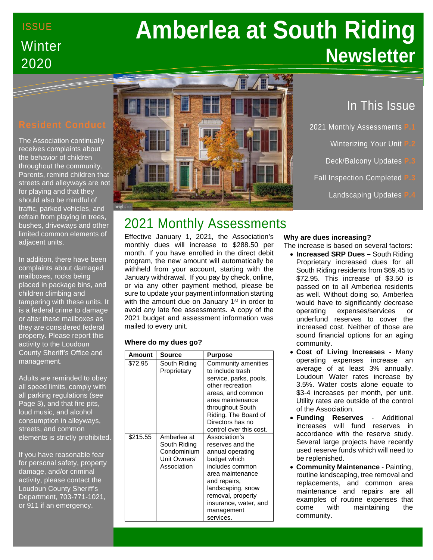# **ISSUE Winter** 2020

# **Amberlea at South Riding Newsletter**

The Association continually receives complaints about the behavior of children throughout the community. Parents, remind children that streets and alleyways are not for playing and that they should also be mindful of traffic, parked vehicles, and refrain from playing in trees, bushes, driveways and other limited common elements of adjacent units.

In addition, there have been complaints about damaged mailboxes, rocks being placed in package bins, and children climbing and tampering with these units. It is a federal crime to damage or alter these mailboxes as they are considered federal property. Please report this activity to the Loudoun County Sheriff's Office and management.

Adults are reminded to obey all speed limits, comply with all parking regulations (see Page 3), and that fire pits, loud music, and alcohol consumption in alleyways, streets, and common elements is strictly prohibited.

If you have reasonable fear for personal safety, property damage, and/or criminal activity, please contact the Loudoun County Sheriff's Department, 703-771-1021, or 911 if an emergency.



# In This Issue

- 2021 Monthly Assessments **P.1**
	- **Winterizing Your Unit**
	- **Deck/Balcony Updates**
- **Fall Inspection Completed** 
	- **Landscaping Updates**

# 2021 Monthly Assessments

Effective January 1, 2021, the Association's monthly dues will increase to \$288.50 per month. If you have enrolled in the direct debit program, the new amount will automatically be withheld from your account, starting with the January withdrawal. If you pay by check, online, or via any other payment method, please be sure to update your payment information starting with the amount due on January 1<sup>st</sup> in order to avoid any late fee assessments. A copy of the 2021 budget and assessment information was mailed to every unit.

## **Where do my dues go?**

| Amount   | Source                                                                    | <b>Purpose</b>                                                                                                                                                                                                             |
|----------|---------------------------------------------------------------------------|----------------------------------------------------------------------------------------------------------------------------------------------------------------------------------------------------------------------------|
| \$72.95  | South Riding<br>Proprietary                                               | Community amenities<br>to include trash<br>service, parks, pools,<br>other recreation<br>areas, and common<br>area maintenance<br>throughout South<br>Riding. The Board of<br>Directors has no<br>control over this cost.  |
| \$215.55 | Amberlea at<br>South Riding<br>Condominium<br>Unit Owners'<br>Association | Association's<br>reserves and the<br>annual operating<br>budget which<br>includes common<br>area maintenance<br>and repairs,<br>landscaping, snow<br>removal, property<br>insurance, water, and<br>management<br>services. |

## **Why are dues increasing?**

- The increase is based on several factors:
	- **Increased SRP Dues –** South Riding Proprietary increased dues for all South Riding residents from \$69.45 to \$72.95. This increase of \$3.50 is passed on to all Amberlea residents as well. Without doing so, Amberlea would have to significantly decrease operating expenses/services or underfund reserves to cover the increased cost. Neither of those are sound financial options for an aging community.
	- **Cost of Living Increases -** Many operating expenses increase an average of at least 3% annually. Loudoun Water rates increase by 3.5%. Water costs alone equate to \$3-4 increases per month, per unit. Utility rates are outside of the control of the Association.
	- **Funding Reserves** Additional increases will fund reserves in accordance with the reserve study. Several large projects have recently used reserve funds which will need to be replenished.
	- **Community Maintenance** Painting, routine landscaping, tree removal and replacements, and common area maintenance and repairs are all examples of routine expenses that come with maintaining the community.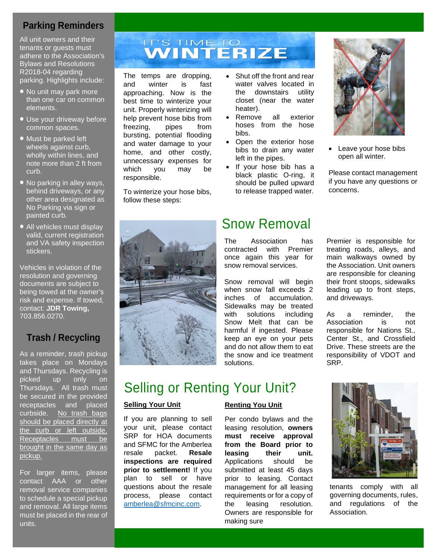# **Parking Reminders**

All unit owners and their tenants or guests must adhere to the Association's Bylaws and Resolutions R2018-04 regarding parking. Highlights include:

- No unit may park more than one car on common elements.
- Use your driveway before common spaces.
- Must be parked left wheels against curb, wholly within lines, and note more than 2 ft from curb.
- No parking in alley ways, behind driveways, or any other area designated as No Parking via sign or painted curb.
- All vehicles must display valid, current registration and VA safety inspection stickers.

Vehicles in violation of the resolution and governing documents are subject to being towed at the owner's risk and expense. If towed, contact: **JDR Towing,**  703.856.0270.

# **Trash / Recycling**

As a reminder, trash pickup takes place on Mondays and Thursdays. Recycling is picked up only on Thursdays. All trash must be secured in the provided receptacles and placed curbside. No trash bags should be placed directly at the curb or left outside. Receptacles must be brought in the same day as pickup.

For larger items, please contact AAA or other removal service companies to schedule a special pickup and removal. All large items must be placed in the rear of units.

# **IT'S TIME TO<br>WINTERIZE**

The temps are dropping, and winter is fast approaching. Now is the best time to winterize your unit. Properly winterizing will help prevent hose bibs from freezing, pipes from bursting, potential flooding and water damage to your home, and other costly, unnecessary expenses for which you may be responsible.

To winterize your hose bibs, follow these steps:



- Shut off the front and rear water valves located in<br>the downstairs utility the downstairs closet (near the water heater).
- Remove all exterior hoses from the hose bibs.
- Open the exterior hose bibs to drain any water left in the pipes.
- If your hose bib has a black plastic O-ring, it should be pulled upward to release trapped water.

# Snow Removal

The Association has contracted with Premier once again this year for snow removal services.

Snow removal will begin when snow fall exceeds 2 inches of accumulation. Sidewalks may be treated with solutions including Snow Melt that can be harmful if ingested. Please keep an eye on your pets and do not allow them to eat the snow and ice treatment solutions.



Leave your hose bibs open all winter.

Please contact management if you have any questions or concerns.

Premier is responsible for treating roads, alleys, and main walkways owned by the Association. Unit owners are responsible for cleaning their front stoops, sidewalks leading up to front steps, and driveways.

As a reminder, the<br>Association is not Association is responsible for Nations St., Center St., and Crossfield Drive. These streets are the responsibility of VDOT and SRP.

# Selling or Renting Your Unit?

## **Selling Your Unit**

If you are planning to sell your unit, please contact SRP for HOA documents and SFMC for the Amberlea resale packet. **Resale inspections are required prior to settlement!** If you plan to sell or have questions about the resale process, please contact [amberlea@sfmcinc.com.](mailto:amberlea@sfmcinc.com)

## **Renting You Unit**

Per condo bylaws and the leasing resolution, **owners must receive approval from the Board prior to leasing their unit.** Applications should be submitted at least 45 days prior to leasing. Contact management for all leasing requirements or for a copy of the leasing resolution. Owners are responsible for making sure



tenants comply with all governing documents, rules, and regulations of the Association.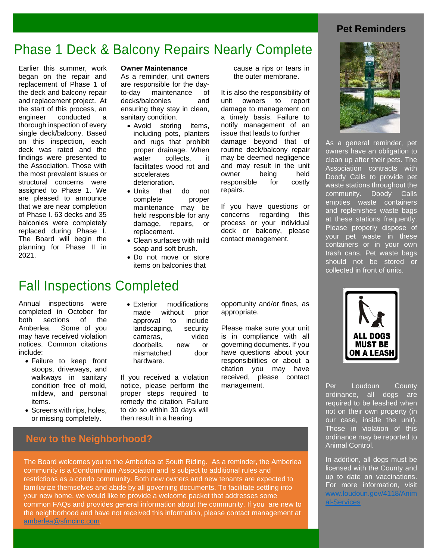# **Pet Reminders**

# Phase 1 Deck & Balcony Repairs Nearly Complete

Earlier this summer, work began on the repair and replacement of Phase 1 of the deck and balcony repair and replacement project. At the start of this process, an engineer conducted a thorough inspection of every single deck/balcony. Based on this inspection, each deck was rated and the findings were presented to the Association. Those with the most prevalent issues or structural concerns were assigned to Phase 1. We are pleased to announce that we are near completion of Phase I. 63 decks and 35 balconies were completely replaced during Phase I. The Board will begin the planning for Phase II in 2021.

### **Owner Maintenance**

As a reminder, unit owners are responsible for the day-<br>to-day maintenance of maintenance decks/balconies and ensuring they stay in clean, sanitary condition.

- Avoid storing items, including pots, planters and rugs that prohibit proper drainage. When water collects, it facilitates wood rot and accelerates deterioration.
- Units that do not complete proper maintenance may be held responsible for any damage, repairs, or replacement.
- Clean surfaces with mild soap and soft brush.
- Do not move or store items on balconies that

cause a rips or tears in the outer membrane.

It is also the responsibility of unit owners to report damage to management on a timely basis. Failure to notify management of an issue that leads to further damage beyond that of routine deck/balcony repair may be deemed negligence and may result in the unit owner being held responsible for costly repairs.

If you have questions or concerns regarding this process or your individual deck or balcony, please contact management.

# Fall Inspections Completed

Annual inspections were completed in October for both sections of the Amberlea. Some of you may have received violation notices. Common citations include:

- Failure to keep front stoops, driveways, and walkways in sanitary condition free of mold, mildew, and personal items.
- Screens with rips, holes, or missing completely.
- Exterior modifications made without prior approval to include landscaping, security cameras, video doorbells, new or mismatched door hardware.
- If you received a violation notice, please perform the proper steps required to remedy the citation. Failure to do so within 30 days will then result in a hearing

opportunity and/or fines, as appropriate.

Please make sure your unit is in compliance with all governing documents. If you have questions about your responsibilities or about a citation you may have received, please contact management.



As a general reminder, pet owners have an obligation to clean up after their pets. The Association contracts with Doody Calls to provide pet waste stations throughout the community. Doody Calls empties waste containers and replenishes waste bags at these stations frequently. Please properly dispose of your pet waste in these containers or in your own trash cans. Pet waste bags should not be stored or collected in front of units.



Per Loudoun County ordinance, all dogs are required to be leashed when not on their own property (in our case, inside the unit). Those in violation of this ordinance may be reported to Animal Control.

In addition, all dogs must be licensed with the County and up to date on vaccinations. For more information, visit [www.loudoun.gov/4118/Anim](http://www.loudoun.gov/4118/Animal-Services) [al-Services](http://www.loudoun.gov/4118/Animal-Services) 

# **New to the Neighborhood?**

The Board welcomes you to the Amberlea at South Riding. As a reminder, the Amberlea community is a Condominium Association and is subject to additional rules and restrictions as a condo community. Both new owners and new tenants are expected to familiarize themselves and abide by all governing documents. To facilitate settling into your new home, we would like to provide a welcome packet that addresses some common FAQs and provides general information about the community. If you are new to the neighborhood and have not received this information, please contact management at [amberlea@sfmcinc.com.](mailto:amberlea@sfmcinc.com)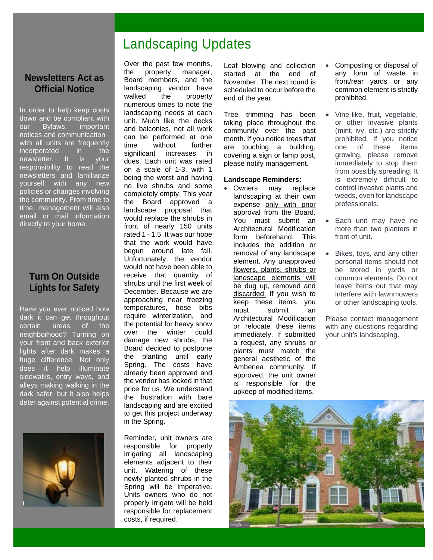# Landscaping Updates

# **Newsletters Act as Official Notice**

In order to help keep costs down and be compliant with our Bylaws, important notices and communication with all units are frequently incorporated in the newsletter. It is your responsibility to read the newsletters and familiarize yourself with any new policies or changes involving the community. From time to time, management will also email or mail information directly to your home.

# **Turn On Outside Lights for Safety**

Have you ever noticed how dark it can get throughout certain areas of the neighborhood? Turning on your front and back exterior lights after dark makes a huge difference. Not only does it help illuminate sidewalks, entry ways, and alleys making walking in the dark safer, but it also helps deter against potential crime.



Over the past few months, the property manager, Board members, and the landscaping vendor have walked the property numerous times to note the landscaping needs at each unit. Much like the decks and balconies, not all work can be performed at one time without further significant increases in dues. Each unit was rated on a scale of 1-3, with 1 being the worst and having no live shrubs and some completely empty. This year the Board approved a landscape proposal that would replace the shrubs in front of nearly 150 units rated 1 - 1.5. It was our hope that the work would have begun around late fall. Unfortunately, the vendor would not have been able to receive that quantity of shrubs until the first week of December. Because we are approaching near freezing temperatures, hose bibs require winterization, and the potential for heavy snow over the winter could damage new shrubs, the Board decided to postpone the planting until early Spring. The costs have already been approved and the vendor has locked in that price for us. We understand the frustration with bare landscaping and are excited to get this project underway in the Spring.

Reminder, unit owners are responsible for properly irrigating all landscaping elements adjacent to their unit. Watering of these newly planted shrubs in the Spring will be imperative. Units owners who do not properly irrigate will be held responsible for replacement costs, if required.

Leaf blowing and collection started at the end of November. The next round is scheduled to occur before the end of the year.

Tree trimming has been taking place throughout the community over the past month. If you notice trees that are touching a building, covering a sign or lamp post, please notify management.

### **Landscape Reminders:**

• Owners may replace landscaping at their own expense only with prior approval from the Board. You must submit an Architectural Modification form beforehand. This includes the addition or removal of any landscape element. Any unapproved flowers, plants, shrubs or landscape elements will be dug up, removed and discarded. If you wish to keep these items, you must submit an Architectural Modification or relocate these items immediately. If submitted a request, any shrubs or plants must match the general aesthetic of the Amberlea community. If approved, the unit owner is responsible for the upkeep of modified items.

- Composting or disposal of any form of waste in front/rear yards or any common element is strictly prohibited.
- Vine-like, fruit, vegetable, or other invasive plants (mint, ivy, etc.) are strictly prohibited. If you notice one of these items growing, please remove immediately to stop them from possibly spreading. It is extremely difficult to control invasive plants and weeds, even for landscape professionals.
- Each unit may have no more than two planters in front of unit.
- Bikes, toys, and any other personal items should not be stored in yards or common elements. Do not leave items out that may interfere with lawnmowers or other landscaping tools.

Please contact management with any questions regarding your unit's landscaping.